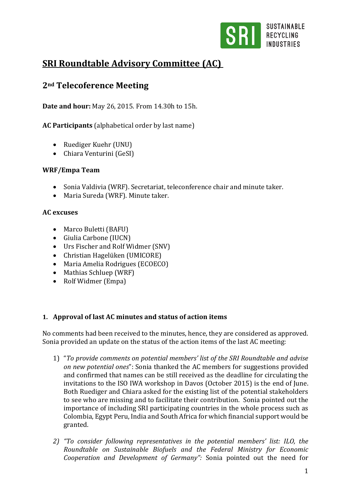

# **SRI Roundtable Advisory Committee (AC)**

## **2nd Telecoference Meeting**

**Date and hour:** May 26, 2015. From 14.30h to 15h.

**AC Participants** (alphabetical order by last name)

- Ruediger Kuehr (UNU)
- Chiara Venturini (GeSI)

## **WRF/Empa Team**

- Sonia Valdivia (WRF). Secretariat, teleconference chair and minute taker.
- Maria Sureda (WRF). Minute taker.

## **AC excuses**

- Marco Buletti (BAFU)
- Giulia Carbone (IUCN)
- Urs Fischer and Rolf Widmer (SNV)
- Christian Hagelüken (UMICORE)
- Maria Amelia Rodrigues (ECOECO)
- Mathias Schluep (WRF)
- Rolf Widmer (Empa)

## **1. Approval of last AC minutes and status of action items**

No comments had been received to the minutes, hence, they are considered as approved. Sonia provided an update on the status of the action items of the last AC meeting:

- 1) "*To provide comments on potential members' list of the SRI Roundtable and advise on new potential ones*": Sonia thanked the AC members for suggestions provided and confirmed that names can be still received as the deadline for circulating the invitations to the ISO IWA workshop in Davos (October 2015) is the end of June. Both Ruediger and Chiara asked for the existing list of the potential stakeholders to see who are missing and to facilitate their contribution. Sonia pointed out the importance of including SRI participating countries in the whole process such as Colombia, Egypt Peru, India and South Africa for which financial support would be granted.
- *2) "To consider following representatives in the potential members' list: ILO, the Roundtable on Sustainable Biofuels and the Federal Ministry for Economic Cooperation and Development of Germany":* Sonia pointed out the need for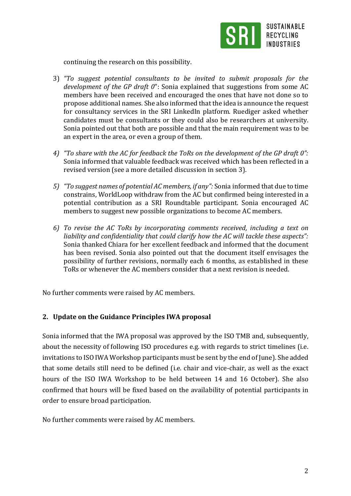

continuing the research on this possibility.

- 3) *"To suggest potential consultants to be invited to submit proposals for the development of the GP draft 0*": Sonia explained that suggestions from some AC members have been received and encouraged the ones that have not done so to propose additional names. She also informed that the idea is announce the request for consultancy services in the SRI LinkedIn platform. Ruediger asked whether candidates must be consultants or they could also be researchers at university. Sonia pointed out that both are possible and that the main requirement was to be an expert in the area, or even a group of them.
- *4) "To share with the AC for feedback the ToRs on the development of the GP draft 0":*  Sonia informed that valuable feedback was received which has been reflected in a revised version (see a more detailed discussion in section 3).
- *5) "To suggest names of potential AC members, if any":* Sonia informed that due to time constrains, WorldLoop withdraw from the AC but confirmed being interested in a potential contribution as a SRI Roundtable participant. Sonia encouraged AC members to suggest new possible organizations to become AC members.
- *6) To revise the AC ToRs by incorporating comments received, including a text on liability and confidentiality that could clarify how the AC will tackle these aspects":*  Sonia thanked Chiara for her excellent feedback and informed that the document has been revised. Sonia also pointed out that the document itself envisages the possibility of further revisions, normally each 6 months, as established in these ToRs or whenever the AC members consider that a next revision is needed.

No further comments were raised by AC members.

## **2. Update on the Guidance Principles IWA proposal**

Sonia informed that the IWA proposal was approved by the ISO TMB and, subsequently, about the necessity of following ISO procedures e.g. with regards to strict timelines (i.e. invitations to ISO IWA Workshop participants must be sent by the end of June). She added that some details still need to be defined (i.e. chair and vice-chair, as well as the exact hours of the ISO IWA Workshop to be held between 14 and 16 October). She also confirmed that hours will be fixed based on the availability of potential participants in order to ensure broad participation.

No further comments were raised by AC members.